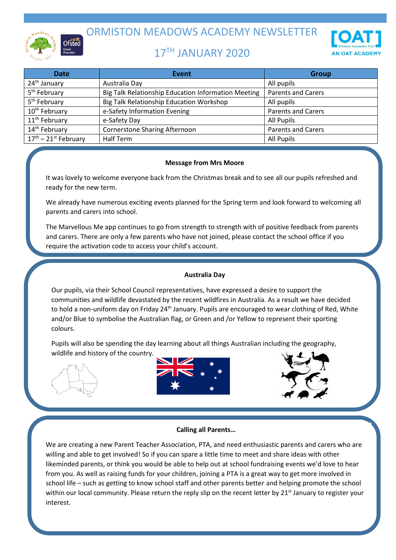

ORMISTON MEADOWS ACADEMY NEWSLETTER

# 17TH JANUARY 2020



| <b>Date</b>                      | <b>Event</b>                                        | <b>Group</b>              |
|----------------------------------|-----------------------------------------------------|---------------------------|
| 24 <sup>th</sup> January         | Australia Day                                       | All pupils                |
| 5 <sup>th</sup> February         | Big Talk Relationship Education Information Meeting | <b>Parents and Carers</b> |
| 5 <sup>th</sup> February         | Big Talk Relationship Education Workshop            | All pupils                |
| 10 <sup>th</sup> February        | e-Safety Information Evening                        | <b>Parents and Carers</b> |
| 11 <sup>th</sup> February        | e-Safety Day                                        | All Pupils                |
| 14 <sup>th</sup> February        | <b>Cornerstone Sharing Afternoon</b>                | <b>Parents and Carers</b> |
| $17^{\text{th}}$ – 21st February | Half Term                                           | All Pupils                |

## **Message from Mrs Moore**

It was lovely to welcome everyone back from the Christmas break and to see all our pupils refreshed and ready for the new term.

We already have numerous exciting events planned for the Spring term and look forward to welcoming all parents and carers into school.

The Marvellous Me app continues to go from strength to strength with of positive feedback from parents and carers. There are only a few parents who have not joined, please contact the school office if you require the activation code to access your child's account.

## **Australia Day**

Our pupils, via their School Council representatives, have expressed a desire to support the communities and wildlife devastated by the recent wildfires in Australia. As a result we have decided to hold a non-uniform day on Friday 24<sup>th</sup> January. Pupils are encouraged to wear clothing of Red, White and/or Blue to symbolise the Australian flag, or Green and /or Yellow to represent their sporting colours.

Pupils will also be spending the day learning about all things Australian including the geography, wildlife and history of the country.







#### **Calling all Parents…**

We are creating a new Parent Teacher Association, PTA, and need enthusiastic parents and carers who are willing and able to get involved! So if you can spare a little time to meet and share ideas with other likeminded parents, or think you would be able to help out at school fundraising events we'd love to hear from you. As well as raising funds for your children, joining a PTA is a great way to get more involved in school life – such as getting to know school staff and other parents better and helping promote the school within our local community. Please return the reply slip on the recent letter by 21<sup>st</sup> January to register your interest.